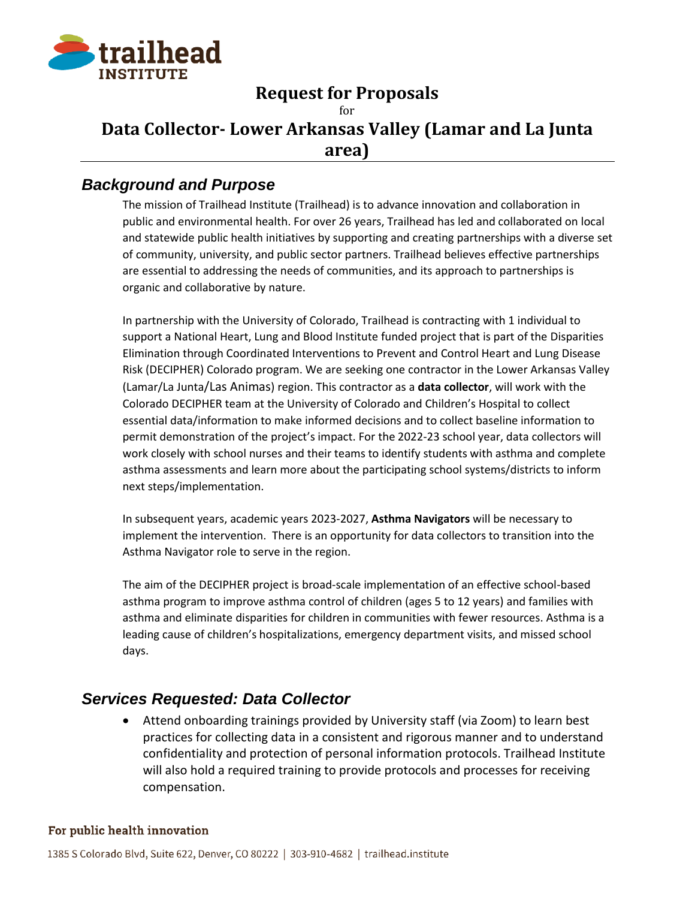

# **Request for Proposals**

## for **Data Collector- Lower Arkansas Valley (Lamar and La Junta area)**

## *Background and Purpose*

The mission of Trailhead Institute (Trailhead) is to advance innovation and collaboration in public and environmental health. For over 26 years, Trailhead has led and collaborated on local and statewide public health initiatives by supporting and creating partnerships with a diverse set of community, university, and public sector partners. Trailhead believes effective partnerships are essential to addressing the needs of communities, and its approach to partnerships is organic and collaborative by nature.

In partnership with the University of Colorado, Trailhead is contracting with 1 individual to support a National Heart, Lung and Blood Institute funded project that is part of the Disparities Elimination through Coordinated Interventions to Prevent and Control Heart and Lung Disease Risk (DECIPHER) Colorado program. We are seeking one contractor in the Lower Arkansas Valley (Lamar/La Junta/Las Animas) region. This contractor as a **data collector**, will work with the Colorado DECIPHER team at the University of Colorado and Children's Hospital to collect essential data/information to make informed decisions and to collect baseline information to permit demonstration of the project's impact. For the 2022-23 school year, data collectors will work closely with school nurses and their teams to identify students with asthma and complete asthma assessments and learn more about the participating school systems/districts to inform next steps/implementation.

In subsequent years, academic years 2023-2027, **Asthma Navigators** will be necessary to implement the intervention. There is an opportunity for data collectors to transition into the Asthma Navigator role to serve in the region.

The aim of the DECIPHER project is broad-scale implementation of an effective school-based asthma program to improve asthma control of children (ages 5 to 12 years) and families with asthma and eliminate disparities for children in communities with fewer resources. Asthma is a leading cause of children's hospitalizations, emergency department visits, and missed school days.

## *Services Requested: Data Collector*

• Attend onboarding trainings provided by University staff (via Zoom) to learn best practices for collecting data in a consistent and rigorous manner and to understand confidentiality and protection of personal information protocols. Trailhead Institute will also hold a required training to provide protocols and processes for receiving compensation.

#### For public health innovation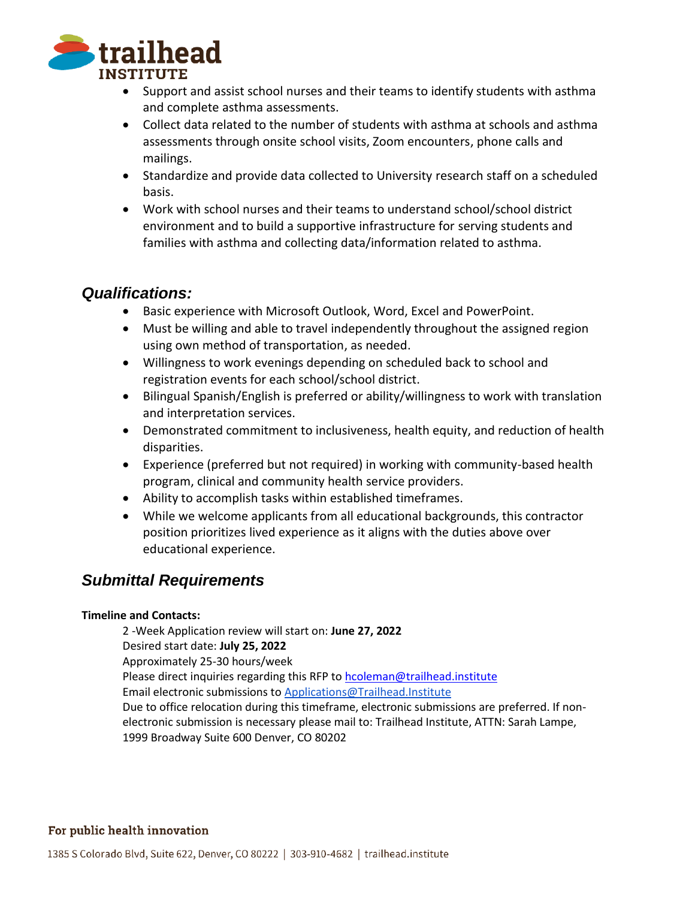

- Support and assist school nurses and their teams to identify students with asthma and complete asthma assessments.
- Collect data related to the number of students with asthma at schools and asthma assessments through onsite school visits, Zoom encounters, phone calls and mailings.
- Standardize and provide data collected to University research staff on a scheduled basis.
- Work with school nurses and their teams to understand school/school district environment and to build a supportive infrastructure for serving students and families with asthma and collecting data/information related to asthma.

## *Qualifications:*

- Basic experience with Microsoft Outlook, Word, Excel and PowerPoint.
- Must be willing and able to travel independently throughout the assigned region using own method of transportation, as needed.
- Willingness to work evenings depending on scheduled back to school and registration events for each school/school district.
- Bilingual Spanish/English is preferred or ability/willingness to work with translation and interpretation services.
- Demonstrated commitment to inclusiveness, health equity, and reduction of health disparities.
- Experience (preferred but not required) in working with community-based health program, clinical and community health service providers.
- Ability to accomplish tasks within established timeframes.
- While we welcome applicants from all educational backgrounds, this contractor position prioritizes lived experience as it aligns with the duties above over educational experience.

# *Submittal Requirements*

### **Timeline and Contacts:**

2 -Week Application review will start on: **June 27, 2022** Desired start date: **July 25, 2022** Approximately 25-30 hours/week Please direct inquiries regarding this RFP to [hcoleman@trailhead.institute](mailto:hcoleman@trailhead.institute) Email electronic submissions t[o Applications@Trailhead.Institute](http://Applications@trailhead.institute) Due to office relocation during this timeframe, electronic submissions are preferred. If nonelectronic submission is necessary please mail to: Trailhead Institute, ATTN: Sarah Lampe, 1999 Broadway Suite 600 Denver, CO 80202

### For public health innovation